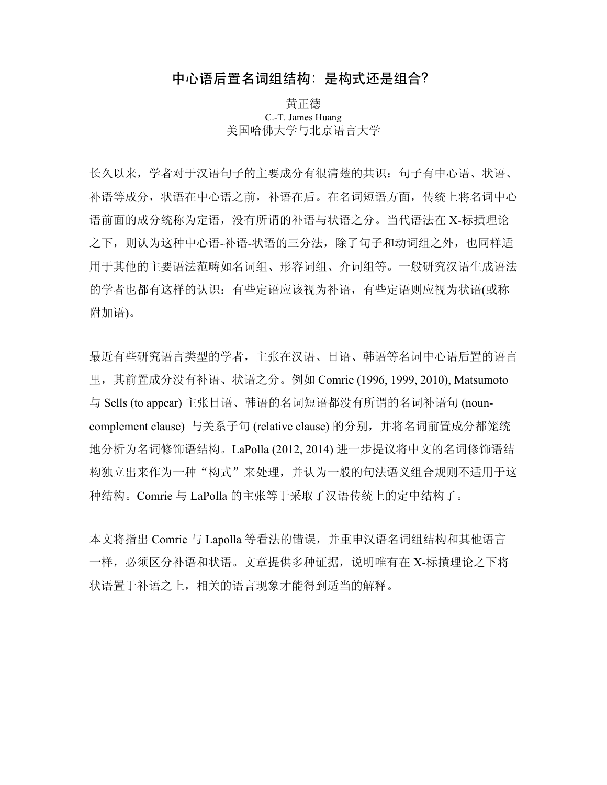# 中心语后置名词组结构: 是构式还是组合?

黄正德 C.-T. James Huang 美国哈佛大学与北京语言大学

长久以来,学者对于汉语句子的主要成分有很清楚的共识:句子有中心语、状语、 补语等成分,状语在中心语之前,补语在后。在名词短语方面,传统上将名词中心 语前面的成分统称为定语,没有所谓的补语与状语之分。当代语法在 X-标摃理论 之下,则认为这种中心语-补语-状语的三分法,除了句子和动词组之外,也同样适 用于其他的主要语法范畴如名词组、形容词组、介词组等。一般研究汉语生成语法 的学者也都有这样的认识:有些定语应该视为补语,有些定语则应视为状语(或称 附加语)。

最近有些研究语言类型的学者,主张在汉语、日语、韩语等名词中心语后置的语言 里,其前置成分没有补语、状语之分。例如 Comrie (1996, 1999, 2010), Matsumoto 与 Sells (to appear) 主张日语、韩语的名词短语都没有所谓的名词补语句 (nouncomplement clause) 与关系子句 (relative clause) 的分别,并将名词前置成分都笼统 地分析为名词修饰语结构。LaPolla (2012, 2014) 进一步提议将中文的名词修饰语结 构独立出来作为一种"构式"来处理,并认为一般的句法语义组合规则不适用于这 种结构。Comrie 与 LaPolla 的主张等于采取了汉语传统上的定中结构了。

本文将指出 Comrie 与 Lapolla 等看法的错误, 并重申汉语名词组结构和其他语言 一样,必须区分补语和状语。文章提供多种证据,说明唯有在 X-标摃理论之下将 状语置于补语之上,相关的语言现象才能得到适当的解释。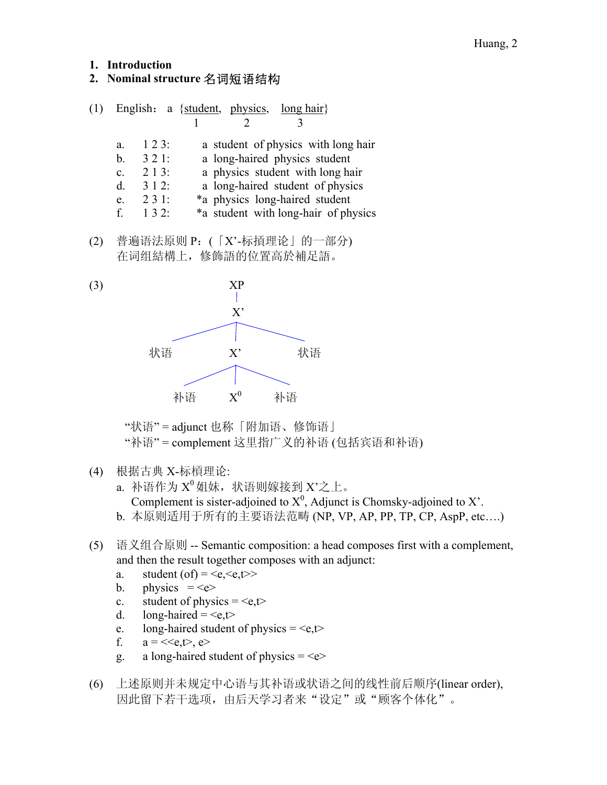#### **1. Introduction**

# **2. Nominal structure** 名词短语结构

| (1) | English: a {student, physics, long hair} |      |  |  |                                |                                      |
|-----|------------------------------------------|------|--|--|--------------------------------|--------------------------------------|
|     |                                          |      |  |  |                                |                                      |
|     | a.                                       | 123: |  |  |                                | a student of physics with long hair  |
|     | b.                                       | 321: |  |  | a long-haired physics student  |                                      |
|     | $\mathbf{c}$ .                           | 213: |  |  |                                | a physics student with long hair     |
|     | d.                                       | 312: |  |  |                                | a long-haired student of physics     |
|     | e.                                       | 231: |  |  | *a physics long-haired student |                                      |
|     | $f_{-}$                                  | 132: |  |  |                                | *a student with long-hair of physics |
|     |                                          |      |  |  |                                |                                      |

(2) 普遍语法原则 P:(「X'-标摃理论」的一部分) 在词组結構上,修飾語的位置高於補足語。



"状语" = adjunct 也称「附加语、修饰语」 "补语" = complement 这里指广义的补语 (包括宾语和补语)

(4) 根据古典 X-标槓理论:

a. 补语作为 X<sup>0</sup>姐妹, 状语则嫁接到 X'之上。 Complement is sister-adjoined to  $X^0$ , Adjunct is Chomsky-adjoined to X'. b. 本原则适用于所有的主要语法范畴 (NP, VP, AP, PP, TP, CP, AspP, etc….)

- (5) 语义组合原则 -- Semantic composition: a head composes first with a complement, and then the result together composes with an adjunct:
	- a. student (of) =  $\langle e, \langle e, t \rangle$
	- b. physics  $=\leq e$
	- c. student of physics =  $\leq e,t$
	- d. long-haired =  $\leq e,t$
	- e. long-haired student of physics =  $\langle e, t \rangle$
	- f.  $a = \langle \langle e, t \rangle, e \rangle$
	- g. a long-haired student of physics  $=$
- (6) 上述原则并未规定中心语与其补语或状语之间的线性前后顺序(linear order), 因此留下若干选项,由后天学习者来"设定"或"顾客个体化"。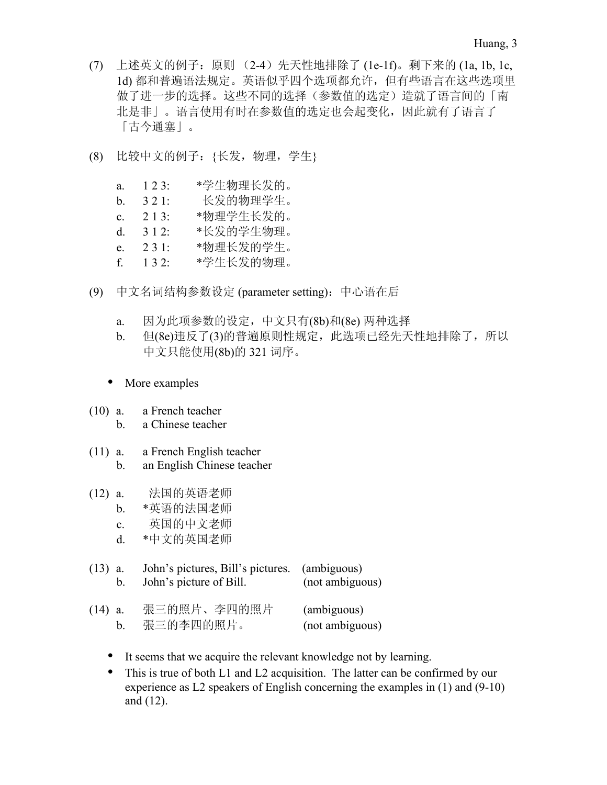- (7) 上述英文的例子:原则 (2-4)先天性地排除了 (1e-1f)。剩下来的 (1a, 1b, 1c, 1d) 都和普遍语法规定。英语似乎四个选项都允许,但有些语言在这些选项里 做了进一步的选择。这些不同的选择(参数值的选定)造就了语言间的「南 北是非」。语言使用有时在参数值的选定也会起变化,因此就有了语言了 「古今通塞」。
- (8) 比较中文的例子:{长发,物理,学生}
	- a. 1 2 3: \*学生物理长发的。 b. 3 2 1: 长发的物理学生。 c. 2 1 3: \*物理学生长发的。 d. 3 1 2: \*长发的学生物理。 e. 2 3 1: \*物理长发的学生。 f. 1 3 2: \*学生长发的物理。
- (9) 中文名词结构参数设定 (parameter setting):中心语在后
	- a. 因为此项参数的设定,中文只有(8b)和(8e) 两种选择
	- b. 但(8e)违反了(3)的普遍原则性规定,此选项已经先天性地排除了,所以 中文只能使用(8b)的 321 词序。
	- More examples
- (10) a. a French teacher b. a Chinese teacher
- (11) a. a French English teacher b. an English Chinese teacher
- (12) a. 法国的英语老师
	- b. \*英语的法国老师
	- c. 英国的中文老师
	- d. \*中文的英国老师
- (13) a. John's pictures, Bill's pictures. (ambiguous) b. John's picture of Bill. (not ambiguous)

| $(14)$ a. | 張三的照片、李四的照片 | (ambiguous)     |
|-----------|-------------|-----------------|
|           | 張三的李四的照片。   | (not ambiguous) |

- It seems that we acquire the relevant knowledge not by learning.
- This is true of both L1 and L2 acquisition. The latter can be confirmed by our experience as L2 speakers of English concerning the examples in (1) and (9-10) and (12).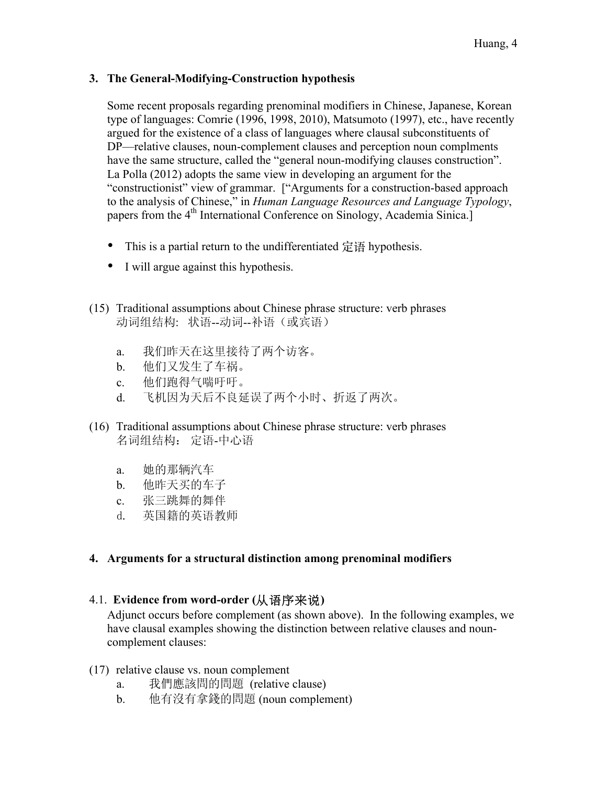## **3. The General-Modifying-Construction hypothesis**

Some recent proposals regarding prenominal modifiers in Chinese, Japanese, Korean type of languages: Comrie (1996, 1998, 2010), Matsumoto (1997), etc., have recently argued for the existence of a class of languages where clausal subconstituents of DP—relative clauses, noun-complement clauses and perception noun complments have the same structure, called the "general noun-modifying clauses construction". La Polla (2012) adopts the same view in developing an argument for the "constructionist" view of grammar. ["Arguments for a construction-based approach to the analysis of Chinese," in *Human Language Resources and Language Typology*, papers from the 4<sup>th</sup> International Conference on Sinology, Academia Sinica.]

- This is a partial return to the undifferentiated 定语 hypothesis.
- I will argue against this hypothesis.
- (15) Traditional assumptions about Chinese phrase structure: verb phrases 动词组结构: 状语--动词--补语(或宾语)
	- a. 我们昨天在这里接待了两个访客。
	- b. 他们又发生了车祸。
	- c. 他们跑得气喘吁吁。
	- d. 飞机因为天后不良延误了两个小时、折返了两次。
- (16) Traditional assumptions about Chinese phrase structure: verb phrases 名词组结构: 定语-中心语
	- a. 她的那辆汽车
	- b. 他昨天买的车子
	- c. 张三跳舞的舞伴
	- d. 英国籍的英语教师

## **4. Arguments for a structural distinction among prenominal modifiers**

## 4.1. **Evidence from word-order (**从语序来说**)**

Adjunct occurs before complement (as shown above). In the following examples, we have clausal examples showing the distinction between relative clauses and nouncomplement clauses:

- (17) relative clause vs. noun complement
	- a. 我們應該問的問題 (relative clause)
	- b. 他有沒有拿錢的問題 (noun complement)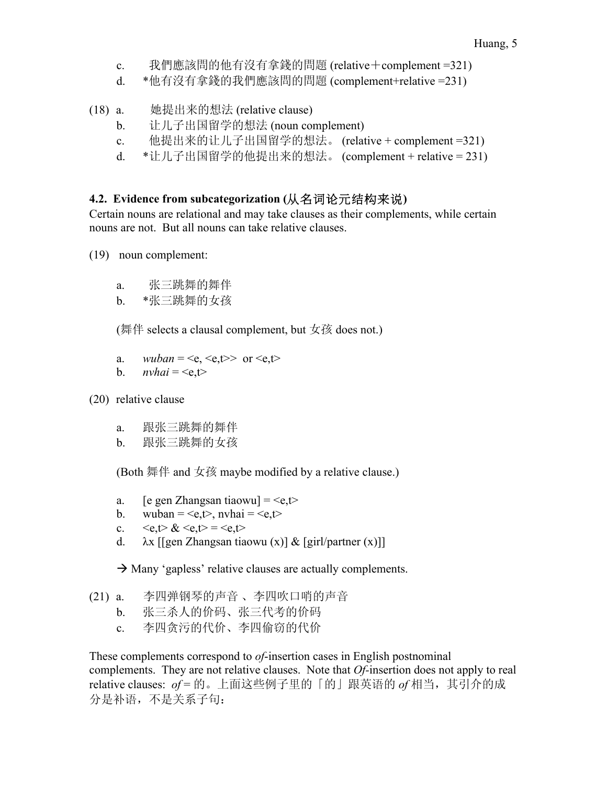- c. 我們應該問的他有沒有拿錢的問題 (relative+complement =321)
- d. \*他有沒有拿錢的我們應該問的問題 (complement+relative =231)
- (18) a. 她提出来的想法 (relative clause)
	- b. 让儿子出国留学的想法 (noun complement)
	- c. 他提出来的让儿子出国留学的想法。 (relative + complement =321)
	- d. \*让儿子出国留学的他提出来的想法。 (complement + relative = 231)

# **4.2. Evidence from subcategorization (**从名词论元结构来说**)**

Certain nouns are relational and may take clauses as their complements, while certain nouns are not. But all nouns can take relative clauses.

- (19) noun complement:
	- a. 张三跳舞的舞伴
	- b. \*张三跳舞的女孩

(舞伴 selects a clausal complement, but 女孩 does not.)

- a.  $\textit{wuban} = \langle e, \langle e, t \rangle \rangle$  or  $\langle e, t \rangle$
- b.  $$
- (20) relative clause
	- a. 跟张三跳舞的舞伴
	- b. 跟张三跳舞的女孩

(Both 舞伴 and 女孩 maybe modified by a relative clause.)

- a. [e gen Zhangsan tiaowu] =  $\leq e, t$
- b. wuban =  $\langle e, t \rangle$ , nyhai =  $\langle e, t \rangle$
- c.  $\langle e, t \rangle \& \langle e, t \rangle = \langle e, t \rangle$
- d.  $\lambda x$  [[gen Zhangsan tiaowu (x)] & [girl/partner (x)]]

 $\rightarrow$  Many 'gapless' relative clauses are actually complements.

- (21) a. 李四弹钢琴的声音 、李四吹口哨的声音
	- b. 张三杀人的价码、张三代考的价码
	- c. 李四贪污的代价、李四偷窃的代价

These complements correspond to *of*-insertion cases in English postnominal complements. They are not relative clauses. Note that *Of-*insertion does not apply to real relative clauses: of = 的。上面这些例子里的「的」跟英语的 of 相当, 其引介的成 分是补语,不是关系子句: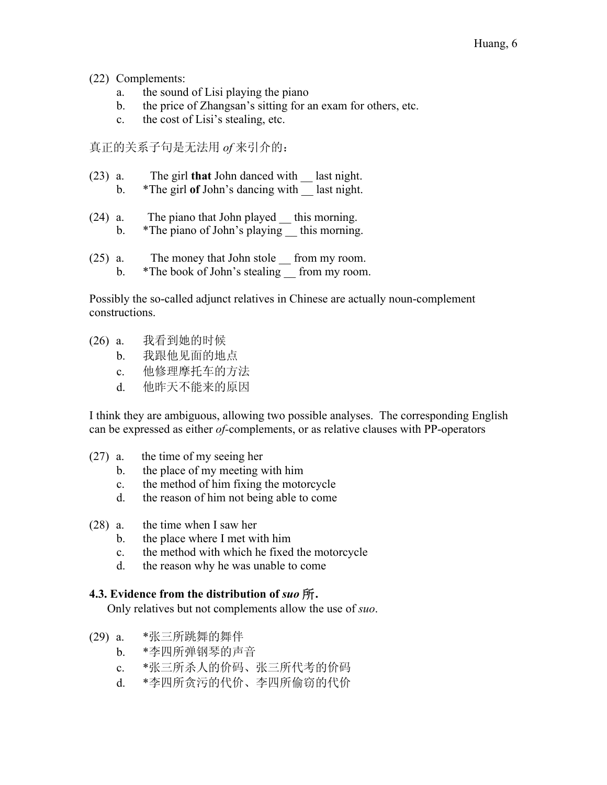#### (22) Complements:

- a. the sound of Lisi playing the piano
- b. the price of Zhangsan's sitting for an exam for others, etc.
- c. the cost of Lisi's stealing, etc.

真正的关系子句是无法用 *of* 来引介的:

- (23) a. The girl **that** John danced with \_\_ last night.
	- b. \*The girl of John's dancing with last night.
- $(24)$  a. The piano that John played  $\quad$  this morning. b. \*The piano of John's playing this morning.
- (25) a. The money that John stole \_\_ from my room.
	- b. \*The book of John's stealing \_\_ from my room.

Possibly the so-called adjunct relatives in Chinese are actually noun-complement constructions.

- (26) a. 我看到她的时候
	- b. 我跟他见面的地点
	- c. 他修理摩托车的方法
	- d. 他昨天不能来的原因

I think they are ambiguous, allowing two possible analyses. The corresponding English can be expressed as either *of-*complements, or as relative clauses with PP-operators

- (27) a. the time of my seeing her
	- b. the place of my meeting with him
	- c. the method of him fixing the motorcycle
	- d. the reason of him not being able to come
- (28) a. the time when I saw her
	- b. the place where I met with him
	- c. the method with which he fixed the motorcycle
	- d. the reason why he was unable to come

## **4.3. Evidence from the distribution of** *suo* 所**.**

Only relatives but not complements allow the use of *suo*.

- (29) a. \*张三所跳舞的舞伴
	- b. \*李四所弹钢琴的声音
	- c. \*张三所杀人的价码、张三所代考的价码
	- d. \*李四所贪污的代价、李四所偷窃的代价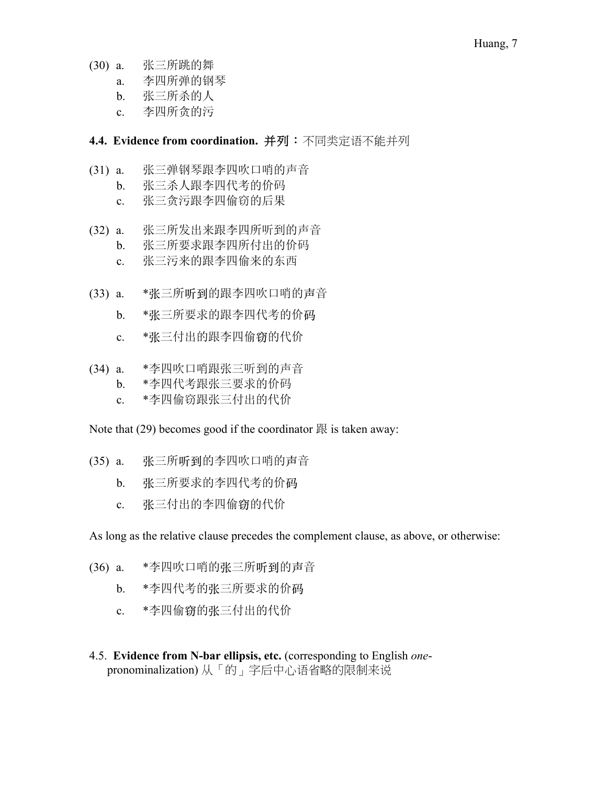- (30) a. 张三所跳的舞
	- a. 李四所弹的钢琴
	- b. 张三所杀的人
	- c. 李四所贪的污

# **4.4. Evidence from coordination.** 并列:不同类定语不能并列

- (31) a. 张三弹钢琴跟李四吹口哨的声音
	- b. 张三杀人跟李四代考的价码
	- c. 张三贪污跟李四偷窃的后果
- (32) a. 张三所发出来跟李四所听到的声音 b. 张三所要求跟李四所付出的价码
	- c. 张三污来的跟李四偷来的东西
- (33) a. \*张三所听到的跟李四吹口哨的声音
	- b. \*张三所要求的跟李四代考的价码
	- c. \*张三付出的跟李四偷窃的代价
- (34) a. \*李四吹口哨跟张三听到的声音
	- b. \*李四代考跟张三要求的价码
	- c. \*李四偷窃跟张三付出的代价

Note that  $(29)$  becomes good if the coordinator  $\mathbb{R}$  is taken away:

- (35) a. 张三所听到的李四吹口哨的声音
	- b. 张三所要求的李四代考的价码
	- c. 张三付出的李四偷窃的代价

As long as the relative clause precedes the complement clause, as above, or otherwise:

- (36) a. \*李四吹口哨的张三所听到的声音
	- b. \*李四代考的张三所要求的价码
	- c. \*李四偷窃的张三付出的代价
- 4.5. **Evidence from N-bar ellipsis, etc.** (corresponding to English *one*pronominalization) 从「的」字后中心语省略的限制来说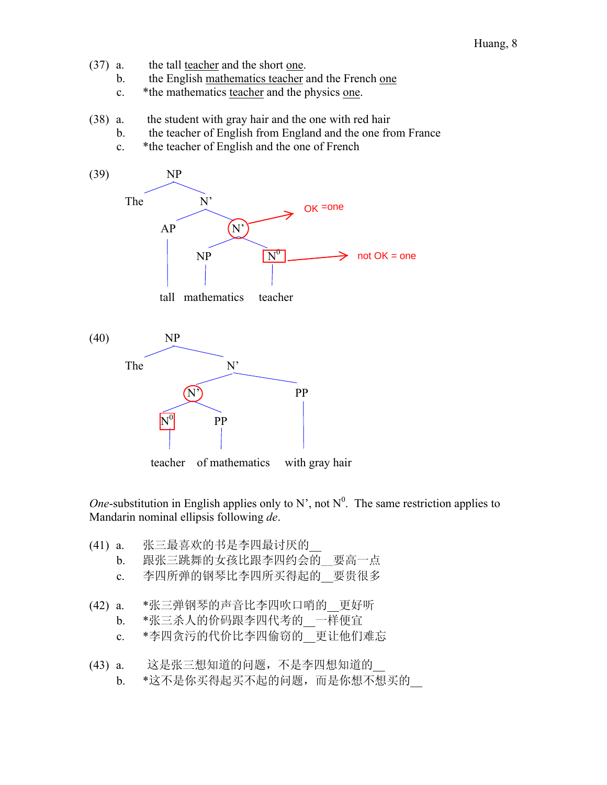- (37) a. the tall teacher and the short one.
	- b. the English mathematics teacher and the French one
	- c. \*the mathematics teacher and the physics one.
- (38) a. the student with gray hair and the one with red hair
	- b. the teacher of English from England and the one from France
	- c. \*the teacher of English and the one of French



*One*-substitution in English applies only to N', not  $N^0$ . The same restriction applies to Mandarin nominal ellipsis following *de*.

- (41) a. 张三最喜欢的书是李四最讨厌的\_\_
	- b. 跟张三跳舞的女孩比跟李四约会的 要高一点
	- c. 李四所弹的钢琴比李四所买得起的\_\_要贵很多
- (42) a. \*张三弹钢琴的声音比李四吹口哨的\_\_更好听
	- b. \*张三杀人的价码跟李四代考的 一样便宜
	- c. \*李四贪污的代价比李四偷窃的 更让他们难忘
- (43) a. 这是张三想知道的问题,不是李四想知道的\_\_ b. \*这不是你买得起买不起的问题,而是你想不想买的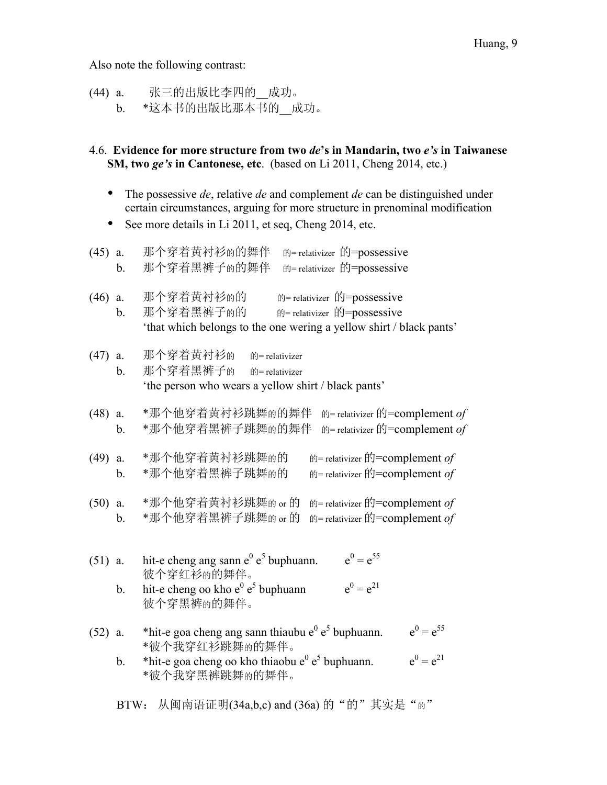Also note the following contrast:

(44) a. 张三的出版比李四的\_\_成功。 b. \*这本书的出版比那本书的\_\_成功。

#### 4.6. **Evidence for more structure from two** *de***'s in Mandarin, two** *e's* **in Taiwanese SM, two** *ge's* **in Cantonese, etc**. (based on Li 2011, Cheng 2014, etc.)

- The possessive *de*, relative *de* and complement *de* can be distinguished under certain circumstances, arguing for more structure in prenominal modification
- See more details in Li 2011, et seq, Cheng 2014, etc.

| $(45)$ a. | b.                  | 那个穿着黄衬衫的的舞伴<br>的= relativizer 的=possessive<br>的= relativizer 的=possessive<br>那个穿着黑裤子的的舞伴                                                                                                           |
|-----------|---------------------|----------------------------------------------------------------------------------------------------------------------------------------------------------------------------------------------------|
| (46)      | a.<br>$\mathbf b$ . | 那个穿着黄衬衫的的<br>的= relativizer 的=possessive<br>那个穿着黑裤子的的<br>的= relativizer 的=possessive<br>'that which belongs to the one wering a yellow shirt / black pants'                                        |
| (47)      | a.<br>b.            | 那个穿着黄衬衫的<br>的= relativizer<br>那个穿着黑裤子的<br>的= relativizer<br>'the person who wears a yellow shirt / black pants'                                                                                    |
| (48)      | a.<br>b.            | *那个他穿着黄衬衫跳舞的的舞伴<br>的= relativizer 的=complement of<br>*那个他穿着黑裤子跳舞的的舞伴<br>的= relativizer 的=complement of                                                                                             |
| (49)      | a.<br>b.            | *那个他穿着黄衬衫跳舞的的<br>$\hat{E}$ relativizer $\hat{E}$ = complement <i>of</i><br>*那个他穿着黑裤子跳舞的的<br>的= relativizer 的=complement of                                                                         |
| (50)      | a.<br>b.            | *那个他穿着黄衬衫跳舞的 or 的<br>$\hat{E}$ relativizer $\hat{E}$ = complement <i>of</i><br>*那个他穿着黑裤子跳舞的 or 的<br>的= relativizer 的=complement of                                                                 |
| $(51)$ a. | b.                  | $e^0 = e^{55}$<br>hit-e cheng ang sann $e^0 e^5$ buphuann.<br>彼个穿红衫的的舞伴。<br>$e^0 = e^{21}$<br>hit-e cheng oo kho $e^0 e^5$ buphuann<br>彼个穿黑裤的的舞伴。                                                  |
| $(52)$ a. | b.                  | $e^0 = e^{55}$<br>*hit-e goa cheng ang sann thiaubu $e^0 e^5$ buphuann.<br>*彼个我穿红衫跳舞的的舞伴。<br>$e^0 = e^{21}$<br>*hit-e goa cheng oo kho thiaobu e $^{0}$ e <sup>5</sup> buphuann.<br>*彼个我穿黑裤跳舞的的舞伴。 |

BTW: 从闽南语证明(34a,b,c) and (36a) 的"的"其实是"的"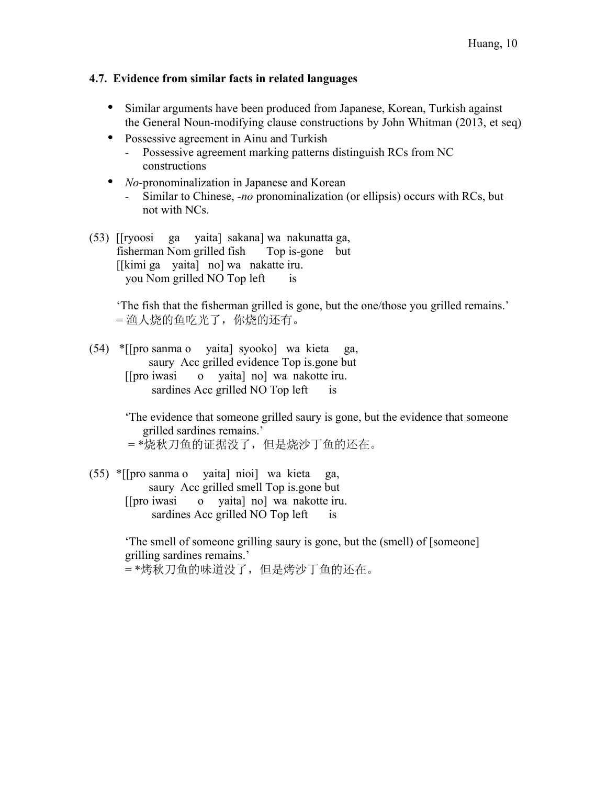#### **4.7. Evidence from similar facts in related languages**

- Similar arguments have been produced from Japanese, Korean, Turkish against the General Noun-modifying clause constructions by John Whitman (2013, et seq)
- Possessive agreement in Ainu and Turkish<br>- Possessive agreement marking natterns
	- Possessive agreement marking patterns distinguish RCs from NC constructions
- *No*-pronominalization in Japanese and Korean
	- Similar to Chinese, *-no* pronominalization (or ellipsis) occurs with RCs, but not with NCs.
- (53) [[ryoosi ga yaita] sakana] wa nakunatta ga, fisherman Nom grilled fish Top is-gone but [[kimi ga yaita] no] wa nakatte iru. you Nom grilled NO Top left is

'The fish that the fisherman grilled is gone, but the one/those you grilled remains.' = 渔人烧的鱼吃光了,你烧的还有。

(54) \*[[pro sanma o yaita] syooko] wa kieta ga, saury Acc grilled evidence Top is.gone but [[pro iwasi o yaita] no] wa nakotte iru. sardines Acc grilled NO Top left is

> 'The evidence that someone grilled saury is gone, but the evidence that someone grilled sardines remains.' = \*烧秋刀鱼的证据没了,但是烧沙丁鱼的还在。

(55) \*[[pro sanma o yaita] nioi] wa kieta ga, saury Acc grilled smell Top is.gone but [[pro iwasi o yaita] no] wa nakotte iru. sardines Acc grilled NO Top left is

> 'The smell of someone grilling saury is gone, but the (smell) of [someone] grilling sardines remains.' = \*烤秋刀鱼的味道没了,但是烤沙丁鱼的还在。